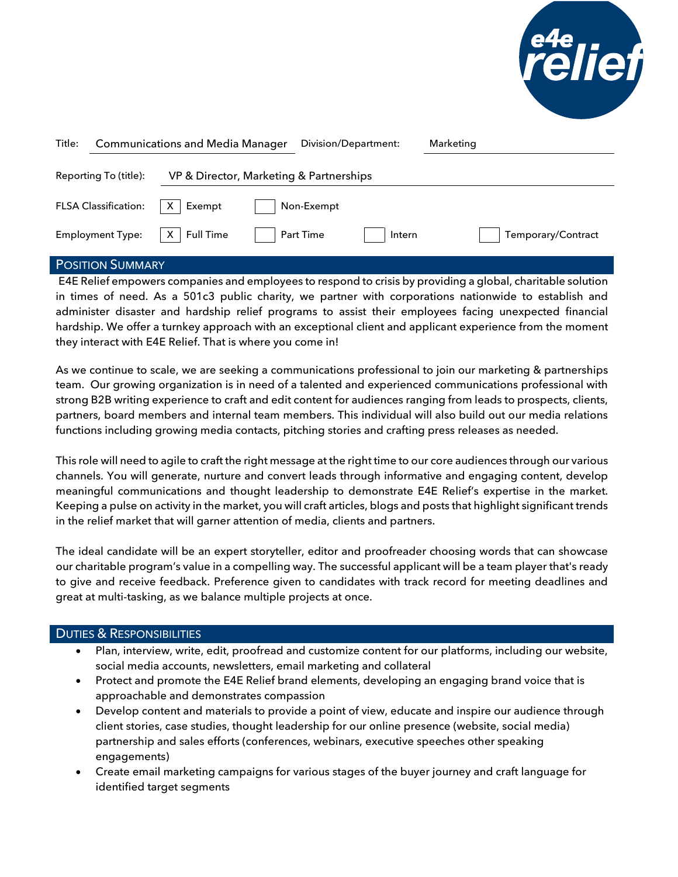

| Title: | <b>Communications and Media Manager</b> |                                         | Division/Department: |            | Marketing |  |                    |
|--------|-----------------------------------------|-----------------------------------------|----------------------|------------|-----------|--|--------------------|
|        | Reporting To (title):                   | VP & Director, Marketing & Partnerships |                      |            |           |  |                    |
|        | <b>FLSA Classification:</b>             | Exempt                                  |                      | Non-Exempt |           |  |                    |
|        | <b>Employment Type:</b>                 | <b>Full Time</b><br>X                   |                      | Part Time  | Intern    |  | Temporary/Contract |

## POSITION SUMMARY

E4E Relief empowers companies and employees to respond to crisis by providing a global, charitable solution in times of need. As a 501c3 public charity, we partner with corporations nationwide to establish and administer disaster and hardship relief programs to assist their employees facing unexpected financial hardship. We offer a turnkey approach with an exceptional client and applicant experience from the moment they interact with E4E Relief. That is where you come in!

As we continue to scale, we are seeking a communications professional to join our marketing & partnerships team. Our growing organization is in need of a talented and experienced communications professional with strong B2B writing experience to craft and edit content for audiences ranging from leads to prospects, clients, partners, board members and internal team members. This individual will also build out our media relations functions including growing media contacts, pitching stories and crafting press releases as needed.

This role will need to agile to craft the right message at the right time to our core audiences through our various channels. You will generate, nurture and convert leads through informative and engaging content, develop meaningful communications and thought leadership to demonstrate E4E Relief's expertise in the market. Keeping a pulse on activity in the market, you will craft articles, blogs and posts that highlight significant trends in the relief market that will garner attention of media, clients and partners.

The ideal candidate will be an expert storyteller, editor and proofreader choosing words that can showcase our charitable program's value in a compelling way. The successful applicant will be a team player that's ready to give and receive feedback. Preference given to candidates with track record for meeting deadlines and great at multi-tasking, as we balance multiple projects at once.

## DUTIES & RESPONSIBILITIES

- Plan, interview, write, edit, proofread and customize content for our platforms, including our website, social media accounts, newsletters, email marketing and collateral
- Protect and promote the E4E Relief brand elements, developing an engaging brand voice that is approachable and demonstrates compassion
- Develop content and materials to provide a point of view, educate and inspire our audience through client stories, case studies, thought leadership for our online presence (website, social media) partnership and sales efforts (conferences, webinars, executive speeches other speaking engagements)
- Create email marketing campaigns for various stages of the buyer journey and craft language for identified target segments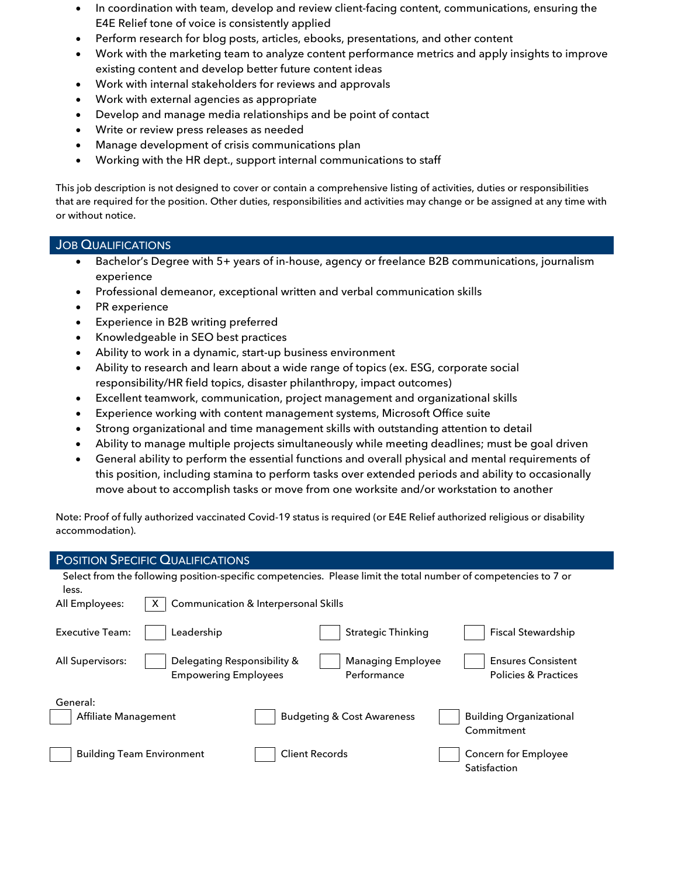- In coordination with team, develop and review client-facing content, communications, ensuring the E4E Relief tone of voice is consistently applied
- Perform research for blog posts, articles, ebooks, presentations, and other content
- Work with the marketing team to analyze content performance metrics and apply insights to improve existing content and develop better future content ideas
- Work with internal stakeholders for reviews and approvals
- Work with external agencies as appropriate
- Develop and manage media relationships and be point of contact
- Write or review press releases as needed
- Manage development of crisis communications plan
- Working with the HR dept., support internal communications to staff

This job description is not designed to cover or contain a comprehensive listing of activities, duties or responsibilities that are required for the position. Other duties, responsibilities and activities may change or be assigned at any time with or without notice.

## **JOB QUALIFICATIONS**

- Bachelor's Degree with 5+ years of in-house, agency or freelance B2B communications, journalism experience
- Professional demeanor, exceptional written and verbal communication skills
- PR experience
- Experience in B2B writing preferred
- Knowledgeable in SEO best practices
- Ability to work in a dynamic, start-up business environment
- Ability to research and learn about a wide range of topics (ex. ESG, corporate social responsibility/HR field topics, disaster philanthropy, impact outcomes)
- Excellent teamwork, communication, project management and organizational skills
- Experience working with content management systems, Microsoft Office suite
- Strong organizational and time management skills with outstanding attention to detail
- Ability to manage multiple projects simultaneously while meeting deadlines; must be goal driven
- General ability to perform the essential functions and overall physical and mental requirements of this position, including stamina to perform tasks over extended periods and ability to occasionally move about to accomplish tasks or move from one worksite and/or workstation to another

Note: Proof of fully authorized vaccinated Covid-19 status is required (or E4E Relief authorized religious or disability accommodation).

| <b>POSITION SPECIFIC QUALIFICATIONS</b>                                                                                  |                                         |                                                              |  |  |  |  |  |  |
|--------------------------------------------------------------------------------------------------------------------------|-----------------------------------------|--------------------------------------------------------------|--|--|--|--|--|--|
| Select from the following position-specific competencies. Please limit the total number of competencies to 7 or<br>less. |                                         |                                                              |  |  |  |  |  |  |
| All Employees:                                                                                                           | Communication & Interpersonal Skills    |                                                              |  |  |  |  |  |  |
| Leadership<br><b>Executive Team:</b>                                                                                     | <b>Strategic Thinking</b>               | <b>Fiscal Stewardship</b>                                    |  |  |  |  |  |  |
| Delegating Responsibility &<br>All Supervisors:<br><b>Empowering Employees</b>                                           | <b>Managing Employee</b><br>Performance | <b>Ensures Consistent</b><br><b>Policies &amp; Practices</b> |  |  |  |  |  |  |
| General:<br>Affiliate Management                                                                                         | <b>Budgeting &amp; Cost Awareness</b>   | <b>Building Organizational</b><br>Commitment                 |  |  |  |  |  |  |
| <b>Building Team Environment</b>                                                                                         | <b>Client Records</b>                   | Concern for Employee<br>Satisfaction                         |  |  |  |  |  |  |